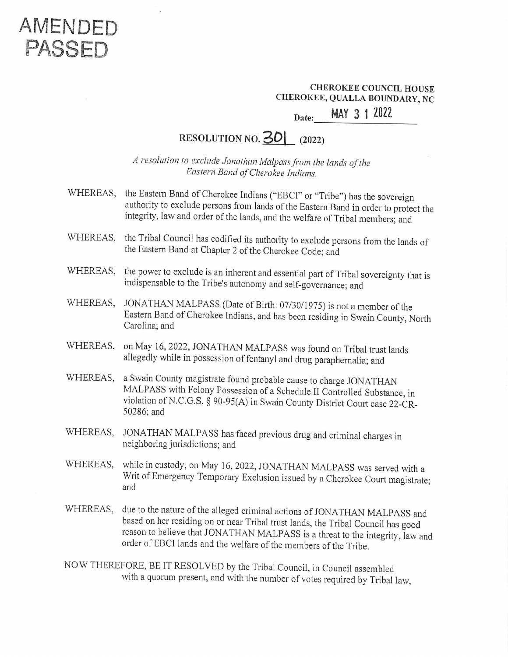## AMENDED PASSED

# CHEROKEE COUNCIL HOUSE CHEROKEE, QUALLA BOUNDARY, NC CHEROKEE CHEROKEE<br>EE, QUALLA<br>MAY 3

#### Date: MAY 3 1 2022

#### RESOLUTION NO. **30** (2022)

<sup>A</sup>resolution to exclude Jonathan Malpass from the lands of the Eastern Band of Cherokee Indians.

- WHEREAS, the Eastern Band of Cherokee Indians ("EBCI" or "Tribe") has the sovereign<br>authority to exclude persons from lands of the Eastern Band in order to protect the<br>integrity, law and order of the lands, and the welfare of Triba
- WHEREAS, the Tribal Council has codified its authority to exclude persons from the lands of the Eastern Band at Chapter 2 of the Cherokee Code; and
- WHEREAS, the power to exclude is an inherent and essential part of Tribal sovereignty that is indispensable to the Tribe's autonomy and self-governance; and
- WHEREAS, JONATHAN MALPASS (Date of Birth: 07/30/1975) is not a member of the Eastern Band of Cherokee Indians, and has been residing in Swain County, North<br>Carolina: and
- WHEREAS, on May 16, 2022, JONATHAN MALPASS was found on Tribal trust lands allegedly while in possession of fentanyl and drug paraphernalia; and
- WHEREAS, a Swain County magistrate found probable cause to charge JONATHAN MALPASS with Felony Possession of a Schedule II Controlled Substance, in violation of N.C.G.S. § 90-95(A) in Swain County District Court case 22-CR- 50286; and
- WHEREAS, JONATHAN MALPASS has faced previous drug and criminal charges in neighboring jurisdictions; and
- WHEREAS, while in custody, on May 16, 2022, JONATHAN MALPASS was served with a Writ of Emergency Temporary Exclusion issued by a Cherokee Court magistrate; and
- WHEREAS, due to the nature of the alleged criminal actions of JONATHAN MALPASS and<br>based on her residing on or near Tribal trust lands, the Tribal Council has good<br>reason to believe that JONATHAN MALPASS is a threat to the integrit
- NOW THEREFORE, BE IT RESOLVED by the Tribal Council, in Council assembled with a quorum present, and with the number of votes required by Tribal law,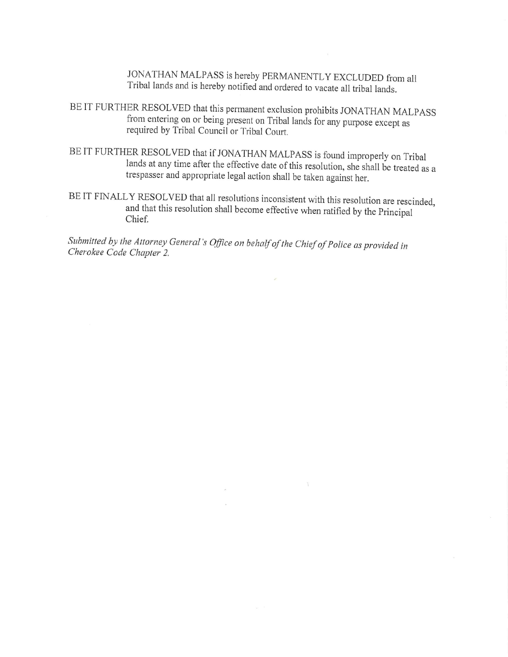JONATHAN MALPASS is hereby PERMANENTLY EXCLUDED from all Tribal lands and is hereby notified and ordered to vacate all tribal lands.

- BE IT FURTHER RESOLVED that this permanent exclusion prohibits JONATHAN MALPASS<br>from entering on or being present on Tribal lands for any purpose except as<br>required by Tribal Council or Tribal Court.
- BE IT FURTHER RESOLVED that if JONATHAN MALPASS is found improperly on Tribal<br>lands at any time after the effective date of this resolution, she shall be treated as a<br>trespasser and appropriate legal action shall be taken
- BEIT FINALLY RESOLVED that all resolutions inconsistent with this resolution are rescinded, and that this resolution shall become effective when ratified by the Principal Chief.

Submitted by the Attorney General's Office on behalf of the Chief of Police as provided in Cherokee Code Chapter 2.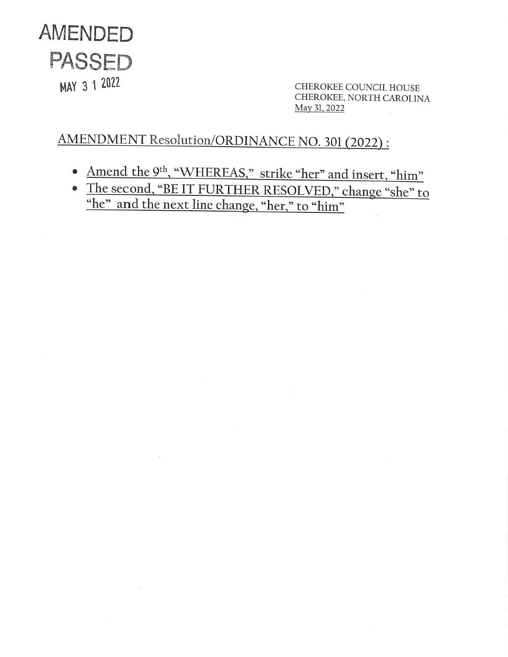

MAY 3 1 2022<br>CHEROKEE COUNCIL HOUSE<br>CHEROKEE, NORTH CAROLINA May 31, 2022

### AMENDMENT Resolution/ORDINANCE NO. 30] (2022):

 $\bar{\rm m}$ 

 $\sim$ 

- Amend the 9<sup>th</sup>, "WHEREAS," strike "her" and insert, "him"
- The second, "BE IT FURTHER RESOLVED," change "she" to "he" and the next line change, "her," to "him"